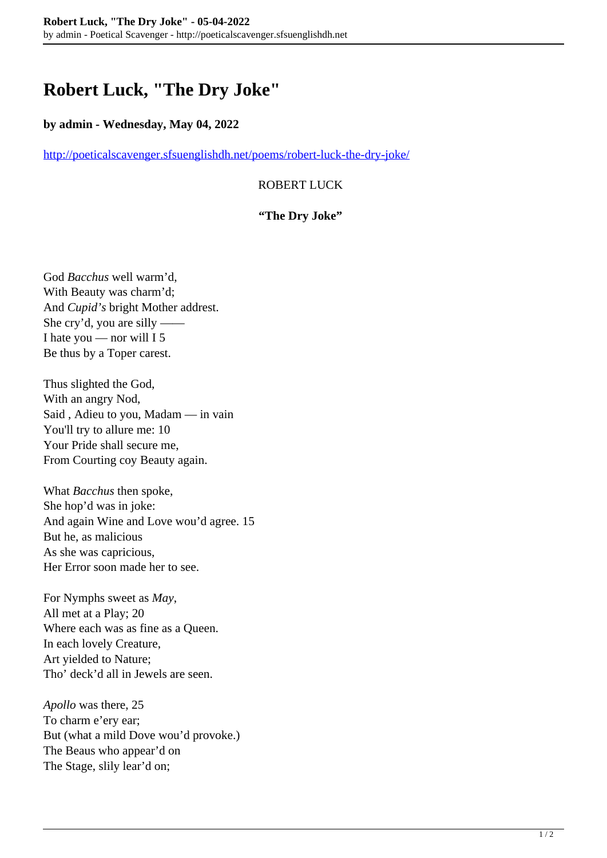# **Robert Luck, "The Dry Joke"**

#### **by admin - Wednesday, May 04, 2022**

<http://poeticalscavenger.sfsuenglishdh.net/poems/robert-luck-the-dry-joke/>

### ROBERT LUCK

#### **"The Dry Joke"**

God *Bacchus* well warm'd, With Beauty was charm'd; And *Cupid's* bright Mother addrest. She cry'd, you are silly —— I hate you — nor will I 5 Be thus by a Toper carest.

Thus slighted the God, With an angry Nod, Said , Adieu to you, Madam — in vain You'll try to allure me: 10 Your Pride shall secure me, From Courting coy Beauty again.

What *Bacchus* then spoke, She hop'd was in joke: And again Wine and Love wou'd agree. 15 But he, as malicious As she was capricious, Her Error soon made her to see.

For Nymphs sweet as *May*, All met at a Play; 20 Where each was as fine as a Queen. In each lovely Creature, Art yielded to Nature; Tho' deck'd all in Jewels are seen.

*Apollo* was there, 25 To charm e'ery ear; But (what a mild Dove wou'd provoke.) The Beaus who appear'd on The Stage, slily lear'd on;